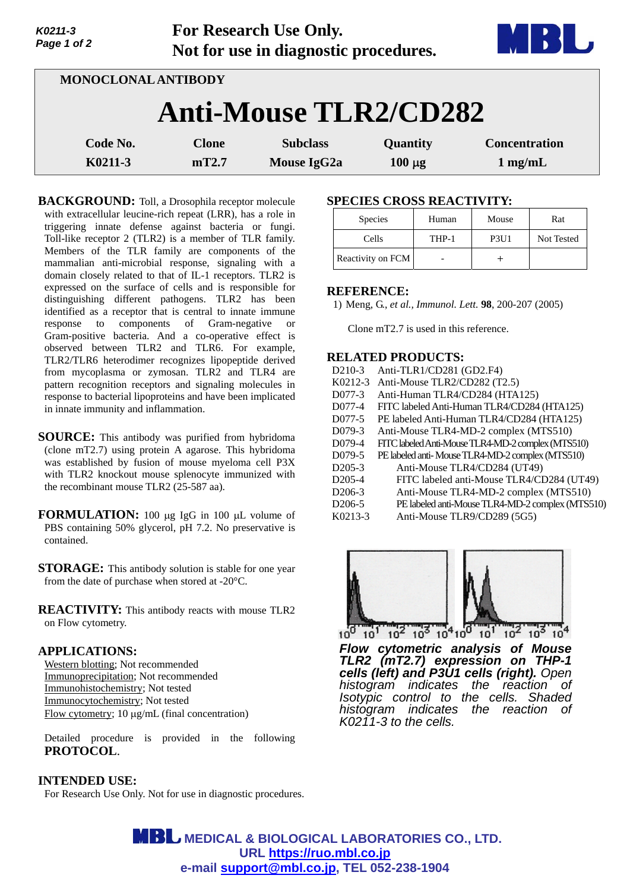| Page 1 of 2         |  | Not for use in diagnostic procedures. |                                |                         |                                           |  |  |
|---------------------|--|---------------------------------------|--------------------------------|-------------------------|-------------------------------------------|--|--|
| MONOCLONAL ANTIBODY |  |                                       |                                |                         |                                           |  |  |
|                     |  |                                       | <b>Anti-Mouse TLR2/CD282</b>   |                         |                                           |  |  |
| Code No.<br>K0211-3 |  | <b>Clone</b><br>mT2.7                 | <b>Subclass</b><br>Mouse IgG2a | Quantity<br>$100 \mu g$ | <b>Concentration</b><br>$1 \text{ mg/mL}$ |  |  |

**For Research Use Only.**

**BACKGROUND:** Toll, a Drosophila receptor molecule with extracellular leucine-rich repeat (LRR), has a role in triggering innate defense against bacteria or fungi. Toll-like receptor 2 (TLR2) is a member of TLR family. Members of the TLR family are components of the mammalian anti-microbial response, signaling with a domain closely related to that of IL-1 receptors. TLR2 is expressed on the surface of cells and is responsible for distinguishing different pathogens. TLR2 has been identified as a receptor that is central to innate immune response to components of Gram-negative or Gram-positive bacteria. And a co-operative effect is observed between TLR2 and TLR6. For example, TLR2/TLR6 heterodimer recognizes lipopeptide derived from mycoplasma or zymosan. TLR2 and TLR4 are pattern recognition receptors and signaling molecules in response to bacterial lipoproteins and have been implicated in innate immunity and inflammation.

**SOURCE:** This antibody was purified from hybridoma (clone mT2.7) using protein A agarose. This hybridoma was established by fusion of mouse myeloma cell P3X with TLR2 knockout mouse splenocyte immunized with the recombinant mouse TLR2 (25-587 aa).

**FORMULATION:** 100 µg IgG in 100 µL volume of PBS containing 50% glycerol, pH 7.2. No preservative is contained.

**STORAGE:** This antibody solution is stable for one year from the date of purchase when stored at -20°C.

**REACTIVITY:** This antibody reacts with mouse TLR2 on Flow cytometry.

## **APPLICATIONS:**

*K0211-3* 

Western blotting; Not recommended Immunoprecipitation; Not recommended Immunohistochemistry; Not tested Immunocytochemistry; Not tested Flow cytometry;  $10 \mu g/mL$  (final concentration)

Detailed procedure is provided in the following **PROTOCOL**.

## **INTENDED USE:**

For Research Use Only. Not for use in diagnostic procedures.

## **SPECIES CROSS REACTIVITY:**

| <b>Species</b>    | Human | Mouse                         | Rat        |
|-------------------|-------|-------------------------------|------------|
| Cells             | THP-1 | P <sub>3</sub> U <sub>1</sub> | Not Tested |
| Reactivity on FCM |       |                               |            |

#### **REFERENCE:**

1) Meng, G., *et al., Immunol. Lett.* **98**, 200-207 (2005)

Clone mT2.7 is used in this reference.

#### **RELATED PRODUCTS:**

| D <sub>2</sub> 10-3        | Anti-TLR1/CD281 (GD2.F4)                           |
|----------------------------|----------------------------------------------------|
| K0212-3                    | Anti-Mouse TLR2/CD282 (T2.5)                       |
| D077-3                     | Anti-Human TLR4/CD284 (HTA125)                     |
| D077-4                     | FITC labeled Anti-Human TLR4/CD284 (HTA125)        |
| D077-5                     | PE labeled Anti-Human TLR4/CD284 (HTA125)          |
| D079-3                     | Anti-Mouse TLR4-MD-2 complex (MTS510)              |
| D079-4                     | FITC labeled Anti-Mouse TLR4-MD-2 complex (MTS510) |
| D <sub>0</sub> 79-5        | PE labeled anti-Mouse TLR4-MD-2 complex (MTS510)   |
| $D205-3$                   | Anti-Mouse TLR4/CD284 (UT49)                       |
| D <sub>2</sub> 05-4        | FITC labeled anti-Mouse TLR4/CD284 (UT49)          |
| D <sub>206</sub> -3        | Anti-Mouse TLR4-MD-2 complex (MTS510)              |
| D <sub>206</sub> -5        | PE labeled anti-Mouse TLR4-MD-2 complex (MTS510)   |
| $T Z$ $\cap$ $\cap$ $\cap$ | TTRO/CDQOO/PQZ<br>$\cdots$                         |





*Flow cytometric analysis of Mouse TLR2 (mT2.7) expression on THP-1 cells (left) and P3U1 cells (right). Open histogram indicates the reaction of Isotypic control to the cells. Shaded histogram indicates the reaction of K0211-3 to the cells.*

**MBL** MEDICAL & BIOLOGICAL LABORATORIES CO., LTD. **URL https://ruo.mbl.co.jp e-mail support@mbl.co.jp, TEL 052-238-1904**